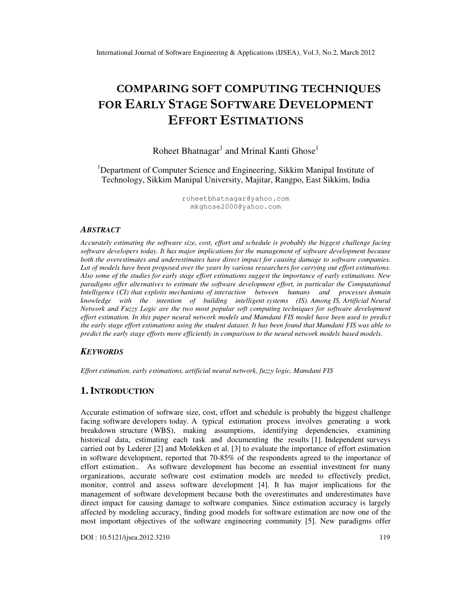# COMPARING SOFT COMPUTING TECHNIQUES FOR EARLY STAGE SOFTWARE DEVELOPMENT EFFORT ESTIMATIONS

# Roheet Bhatnagar<sup>1</sup> and Mrinal Kanti Ghose<sup>1</sup>

<sup>1</sup>Department of Computer Science and Engineering, Sikkim Manipal Institute of Technology, Sikkim Manipal University, Majitar, Rangpo, East Sikkim, India

> roheetbhatnagar@yahoo.com mkghose2000@yahoo.com

#### *ABSTRACT*

*Accurately estimating the software size, cost, effort and schedule is probably the biggest challenge facing software developers today. It has major implications for the management of software development because both the overestimates and underestimates have direct impact for causing damage to software companies. Lot of models have been proposed over the years by various researchers for carrying out effort estimations. Also some of the studies for early stage effort estimations suggest the importance of early estimations. New paradigms offer alternatives to estimate the software development effort, in particular the Computational Intelligence (CI) that exploits mechanisms of interaction between humans and processes domain knowledge with the intention of building intelligent systems (IS). Among IS, Artificial Neural Network and Fuzzy Logic are the two most popular soft computing techniques for software development effort estimation. In this paper neural network models and Mamdani FIS model have been used to predict the early stage effort estimations using the student dataset. It has been found that Mamdani FIS was able to predict the early stage efforts more efficiently in comparison to the neural network models based models.* 

#### *KEYWORDS*

*Effort estimation, early estimations, artificial neural network, fuzzy logic, Mamdani FIS* 

### **1. INTRODUCTION**

Accurate estimation of software size, cost, effort and schedule is probably the biggest challenge facing software developers today. A typical estimation process involves generating a work breakdown structure (WBS), making assumptions, identifying dependencies, examining historical data, estimating each task and documenting the results [1]. Independent surveys carried out by Lederer [2] and Moløkken et al. [3] to evaluate the importance of effort estimation in software development, reported that 70-85% of the respondents agreed to the importance of effort estimation.. As software development has become an essential investment for many organizations, accurate software cost estimation models are needed to effectively predict, monitor, control and assess software development [4]. It has major implications for the management of software development because both the overestimates and underestimates have direct impact for causing damage to software companies. Since estimation accuracy is largely affected by modeling accuracy, finding good models for software estimation are now one of the most important objectives of the software engineering community [5]. New paradigms offer

DOI : 10.5121/ijsea.2012.3210 119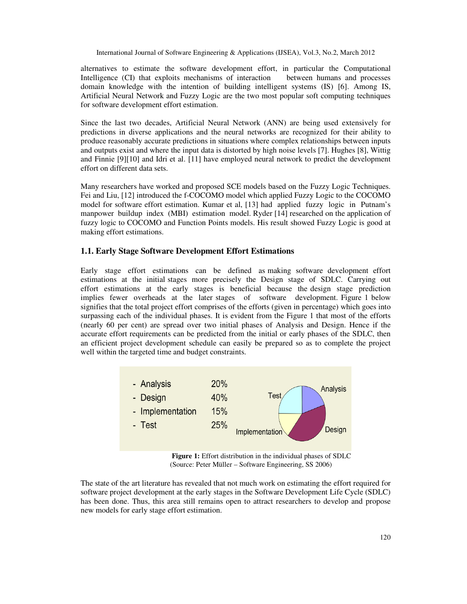alternatives to estimate the software development effort, in particular the Computational Intelligence (CI) that exploits mechanisms of interaction between humans and processes domain knowledge with the intention of building intelligent systems (IS) [6]. Among IS, Artificial Neural Network and Fuzzy Logic are the two most popular soft computing techniques for software development effort estimation.

Since the last two decades, Artificial Neural Network (ANN) are being used extensively for predictions in diverse applications and the neural networks are recognized for their ability to produce reasonably accurate predictions in situations where complex relationships between inputs and outputs exist and where the input data is distorted by high noise levels [7]. Hughes [8], Wittig and Finnie [9][10] and Idri et al. [11] have employed neural network to predict the development effort on different data sets.

Many researchers have worked and proposed SCE models based on the Fuzzy Logic Techniques. Fei and Liu, [12] introduced the f-COCOMO model which applied Fuzzy Logic to the COCOMO model for software effort estimation. Kumar et al, [13] had applied fuzzy logic in Putnam's manpower buildup index (MBI) estimation model. Ryder [14] researched on the application of fuzzy logic to COCOMO and Function Points models. His result showed Fuzzy Logic is good at making effort estimations.

#### **1.1. Early Stage Software Development Effort Estimations**

Early stage effort estimations can be defined as making software development effort estimations at the initial stages more precisely the Design stage of SDLC. Carrying out effort estimations at the early stages is beneficial because the design stage prediction implies fewer overheads at the later stages of software development. Figure 1 below signifies that the total project effort comprises of the efforts (given in percentage) which goes into surpassing each of the individual phases. It is evident from the Figure 1 that most of the efforts (nearly 60 per cent) are spread over two initial phases of Analysis and Design. Hence if the accurate effort requirements can be predicted from the initial or early phases of the SDLC, then an efficient project development schedule can easily be prepared so as to complete the project well within the targeted time and budget constraints.



**Figure 1:** Effort distribution in the individual phases of SDLC (Source: Peter Müller – Software Engineering, SS 2006)

The state of the art literature has revealed that not much work on estimating the effort required for software project development at the early stages in the Software Development Life Cycle (SDLC) has been done. Thus, this area still remains open to attract researchers to develop and propose new models for early stage effort estimation.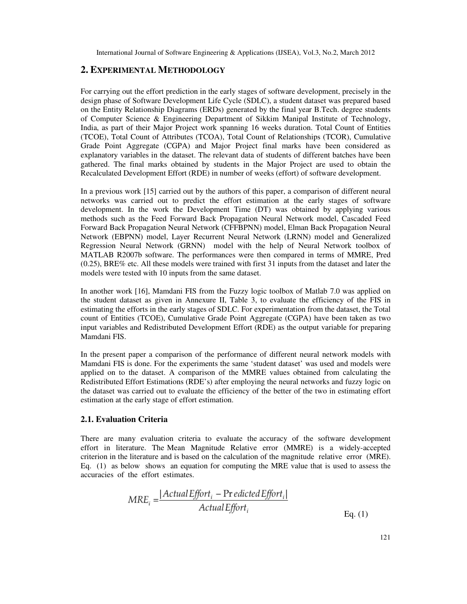#### **2. EXPERIMENTAL METHODOLOGY**

For carrying out the effort prediction in the early stages of software development, precisely in the design phase of Software Development Life Cycle (SDLC), a student dataset was prepared based on the Entity Relationship Diagrams (ERDs) generated by the final year B.Tech. degree students of Computer Science & Engineering Department of Sikkim Manipal Institute of Technology, India, as part of their Major Project work spanning 16 weeks duration. Total Count of Entities (TCOE), Total Count of Attributes (TCOA), Total Count of Relationships (TCOR), Cumulative Grade Point Aggregate (CGPA) and Major Project final marks have been considered as explanatory variables in the dataset. The relevant data of students of different batches have been gathered. The final marks obtained by students in the Major Project are used to obtain the Recalculated Development Effort (RDE) in number of weeks (effort) of software development.

In a previous work [15] carried out by the authors of this paper, a comparison of different neural networks was carried out to predict the effort estimation at the early stages of software development. In the work the Development Time (DT) was obtained by applying various methods such as the Feed Forward Back Propagation Neural Network model, Cascaded Feed Forward Back Propagation Neural Network (CFFBPNN) model, Elman Back Propagation Neural Network (EBPNN) model, Layer Recurrent Neural Network (LRNN) model and Generalized Regression Neural Network (GRNN) model with the help of Neural Network toolbox of MATLAB R2007b software. The performances were then compared in terms of MMRE, Pred (0.25), BRE% etc. All these models were trained with first 31 inputs from the dataset and later the models were tested with 10 inputs from the same dataset.

In another work [16], Mamdani FIS from the Fuzzy logic toolbox of Matlab 7.0 was applied on the student dataset as given in Annexure II, Table 3, to evaluate the efficiency of the FIS in estimating the efforts in the early stages of SDLC. For experimentation from the dataset, the Total count of Entities (TCOE), Cumulative Grade Point Aggregate (CGPA) have been taken as two input variables and Redistributed Development Effort (RDE) as the output variable for preparing Mamdani FIS.

In the present paper a comparison of the performance of different neural network models with Mamdani FIS is done. For the experiments the same 'student dataset' was used and models were applied on to the dataset. A comparison of the MMRE values obtained from calculating the Redistributed Effort Estimations (RDE's) after employing the neural networks and fuzzy logic on the dataset was carried out to evaluate the efficiency of the better of the two in estimating effort estimation at the early stage of effort estimation.

### **2.1. Evaluation Criteria**

There are many evaluation criteria to evaluate the accuracy of the software development effort in literature. The Mean Magnitude Relative error (MMRE) is a widely-accepted criterion in the literature and is based on the calculation of the magnitude relative error (MRE). Eq. (1) as below shows an equation for computing the MRE value that is used to assess the accuracies of the effort estimates.

$$
MRE_i = \frac{|ActualEffort_i - PredictedEffort_i|}{Actual Effort_i}
$$
  
Eq. (1)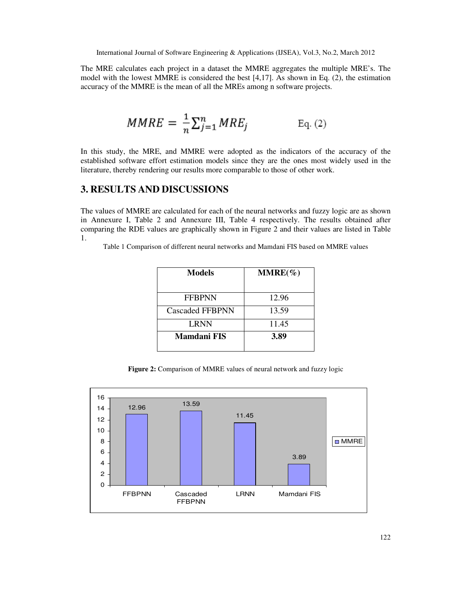The MRE calculates each project in a dataset the MMRE aggregates the multiple MRE's. The model with the lowest MMRE is considered the best [4,17]. As shown in Eq. (2), the estimation accuracy of the MMRE is the mean of all the MREs among n software projects.

$$
MMRE = \frac{1}{n} \sum_{j=1}^{n} MRE_j
$$
 Eq. (2)

In this study, the MRE, and MMRE were adopted as the indicators of the accuracy of the established software effort estimation models since they are the ones most widely used in the literature, thereby rendering our results more comparable to those of other work.

# **3. RESULTS AND DISCUSSIONS**

The values of MMRE are calculated for each of the neural networks and fuzzy logic are as shown in Annexure I, Table 2 and Annexure III, Table 4 respectively. The results obtained after comparing the RDE values are graphically shown in Figure 2 and their values are listed in Table 1.

Table 1 Comparison of different neural networks and Mamdani FIS based on MMRE values

| <b>Models</b>   | $MMRE(\%)$ |  |  |
|-----------------|------------|--|--|
| <b>FFBPNN</b>   | 12.96      |  |  |
| Cascaded FFBPNN | 13.59      |  |  |
| <b>LRNN</b>     | 11.45      |  |  |
| Mamdani FIS     | 3.89       |  |  |

**Figure 2:** Comparison of MMRE values of neural network and fuzzy logic

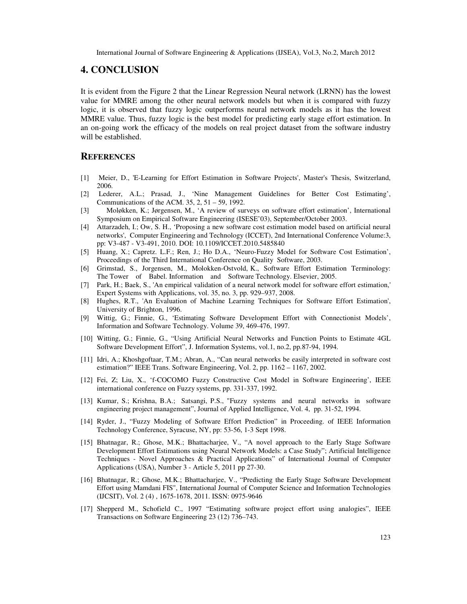### **4. CONCLUSION**

It is evident from the Figure 2 that the Linear Regression Neural network (LRNN) has the lowest value for MMRE among the other neural network models but when it is compared with fuzzy logic, it is observed that fuzzy logic outperforms neural network models as it has the lowest MMRE value. Thus, fuzzy logic is the best model for predicting early stage effort estimation. In an on-going work the efficacy of the models on real project dataset from the software industry will be established.

### **REFERENCES**

- [1] Meier, D., 'E-Learning for Effort Estimation in Software Projects', Master's Thesis, Switzerland, 2006.
- [2] Lederer, A.L.; Prasad, J., 'Nine Management Guidelines for Better Cost Estimating', Communications of the ACM. 35, 2, 51 – 59, 1992.
- [3] Moløkken, K.; Jørgensen, M., 'A review of surveys on software effort estimation', International Symposium on Empirical Software Engineering (ISESE'03), September/October 2003.
- [4] Attarzadeh, I.; Ow, S. H., 'Proposing a new software cost estimation model based on artificial neural networks', Computer Engineering and Technology (ICCET), 2nd International Conference Volume:3, pp: V3-487 - V3-491, 2010. DOI: 10.1109/ICCET.2010.5485840
- [5] Huang, X.; Capretz. L.F.; Ren, J.; Ho D.A., 'Neuro-Fuzzy Model for Software Cost Estimation', Proceedings of the Third International Conference on Quality Software, 2003.
- [6] Grimstad, S., Jorgensen, M., Molokken-Ostvold, K., Software Effort Estimation Terminology: The Tower of Babel. Information and Software Technology. Elsevier, 2005.
- [7] Park, H.; Baek, S., 'An empirical validation of a neural network model for software effort estimation,' Expert Systems with Applications, vol. 35, no. 3, pp. 929–937, 2008.
- [8] Hughes, R.T., 'An Evaluation of Machine Learning Techniques for Software Effort Estimation', University of Brighton, 1996.
- [9] Wittig, G.; Finnie, G., 'Estimating Software Development Effort with Connectionist Models', Information and Software Technology. Volume 39, 469-476, 1997.
- [10] Witting, G.; Finnie, G., "Using Artificial Neural Networks and Function Points to Estimate 4GL Software Development Effort", J. Information Systems, vol.1, no.2, pp.87-94, 1994.
- [11] Idri, A.; Khoshgoftaar, T.M.; Abran, A., "Can neural networks be easily interpreted in software cost estimation?" IEEE Trans. Software Engineering, Vol. 2, pp. 1162 – 1167, 2002.
- [12] Fei, Z; Liu, X., 'f-COCOMO Fuzzy Constructive Cost Model in Software Engineering', IEEE international conference on Fuzzy systems, pp. 331-337, 1992.
- [13] Kumar, S.; Krishna, B.A.; Satsangi, P.S., "Fuzzy systems and neural networks in software engineering project management", Journal of Applied Intelligence, Vol. 4, pp. 31-52, 1994.
- [14] Ryder, J., "Fuzzy Modeling of Software Effort Prediction" in Proceeding. of IEEE Information Technology Conference, Syracuse, NY, pp: 53-56, 1-3 Sept 1998.
- [15] Bhatnagar, R.; Ghose, M.K.; Bhattacharjee, V., "A novel approach to the Early Stage Software Development Effort Estimations using Neural Network Models: a Case Study"; Artificial Intelligence Techniques - Novel Approaches & Practical Applications" of International Journal of Computer Applications (USA), Number 3 - Article 5, 2011 pp 27-30.
- [16] Bhatnagar, R.; Ghose, M.K.; Bhattacharjee, V., "Predicting the Early Stage Software Development Effort using Mamdani FIS", International Journal of Computer Science and Information Technologies (IJCSIT), Vol. 2 (4) , 1675-1678, 2011. ISSN: 0975-9646
- [17] Shepperd M., Schofield C., 1997 "Estimating software project effort using analogies", IEEE Transactions on Software Engineering 23 (12) 736–743.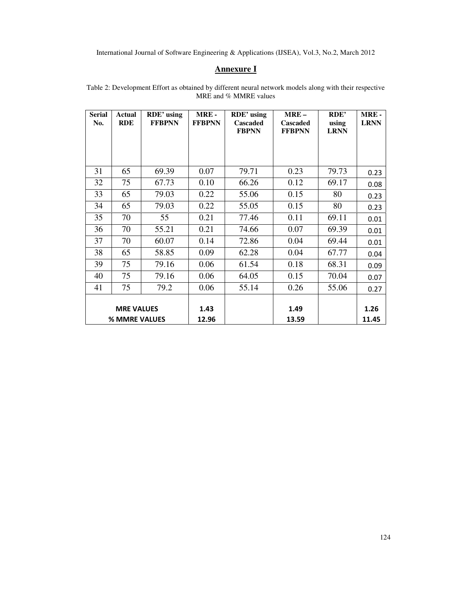# **Annexure I**

| <b>Serial</b><br>No.               | <b>Actual</b><br><b>RDE</b> | RDE' using<br><b>FFBPNN</b> | MRE-<br><b>FFBPNN</b> | RDE' using<br>Cascaded<br><b>FBPNN</b> | $MRE-$<br><b>Cascaded</b><br><b>FFBPNN</b> | RDE'<br>using<br><b>LRNN</b> | <b>MRE-</b><br><b>LRNN</b> |
|------------------------------------|-----------------------------|-----------------------------|-----------------------|----------------------------------------|--------------------------------------------|------------------------------|----------------------------|
| 31                                 | 65                          | 69.39                       | 0.07                  | 79.71                                  | 0.23                                       | 79.73                        | 0.23                       |
| 32                                 | 75                          | 67.73                       | 0.10                  | 66.26                                  | 0.12                                       | 69.17                        | 0.08                       |
| 33                                 | 65                          | 79.03                       | 0.22                  | 55.06                                  | 0.15                                       | 80                           | 0.23                       |
| 34                                 | 65                          | 79.03                       | 0.22                  | 55.05                                  | 0.15                                       | 80                           | 0.23                       |
| 35                                 | 70                          | 55                          | 0.21                  | 77.46                                  | 0.11                                       | 69.11                        | 0.01                       |
| 36                                 | 70                          | 55.21                       | 0.21                  | 74.66                                  | 0.07                                       | 69.39                        | 0.01                       |
| 37                                 | 70                          | 60.07                       | 0.14                  | 72.86                                  | 0.04                                       | 69.44                        | 0.01                       |
| 38                                 | 65                          | 58.85                       | 0.09                  | 62.28                                  | 0.04                                       | 67.77                        | 0.04                       |
| 39                                 | 75                          | 79.16                       | 0.06                  | 61.54                                  | 0.18                                       | 68.31                        | 0.09                       |
| 40                                 | 75                          | 79.16                       | 0.06                  | 64.05                                  | 0.15                                       | 70.04                        | 0.07                       |
| 41                                 | 75                          | 79.2                        | 0.06                  | 55.14                                  | 0.26                                       | 55.06                        | 0.27                       |
| <b>MRE VALUES</b><br>% MMRE VALUES |                             | 1.43<br>12.96               |                       | 1.49<br>13.59                          |                                            | 1.26<br>11.45                |                            |

Table 2: Development Effort as obtained by different neural network models along with their respective MRE and % MMRE values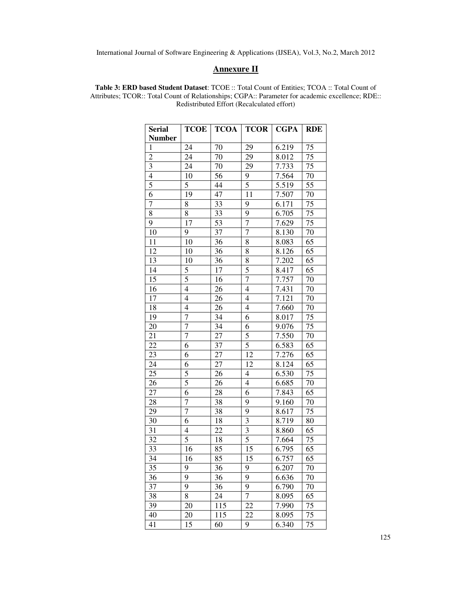## **Annexure II**

**Table 3: ERD based Student Dataset**: TCOE :: Total Count of Entities; TCOA :: Total Count of Attributes; TCOR:: Total Count of Relationships; CGPA:: Parameter for academic excellence; RDE:: Redistributed Effort (Recalculated effort)

| <b>Serial</b>            | <b>TCOE</b>    | <b>TCOA</b>     | <b>TCOR</b>              | <b>CGPA</b> | <b>RDE</b>      |
|--------------------------|----------------|-----------------|--------------------------|-------------|-----------------|
| <b>Number</b>            |                |                 |                          |             |                 |
| 1                        | 24             | 70              | 29                       | 6.219       | 75              |
| $\overline{2}$           | 24             | 70              | 29                       | 8.012       | 75              |
| $\mathfrak{Z}$           | 24             | 70              | 29                       | 7.733       | 75              |
| $\overline{\mathcal{L}}$ | $10\,$         | 56              | 9                        | 7.564       | 70              |
| $\overline{5}$           | 5              | 44              | $\overline{5}$           | 5.519       | 55              |
| 6                        | 19             | 47              | 11                       | 7.507       | 70              |
| $\overline{7}$           | 8              | 33              | 9                        | 6.171       | 75              |
| $\overline{8}$           | $\overline{8}$ | 33              | $\overline{9}$           | 6.705       | 75              |
| 9                        | 17             | 53              | $\overline{7}$           | 7.629       | $\overline{75}$ |
| 10                       | 9              | $\overline{37}$ | $\overline{7}$           | 8.130       | $\overline{70}$ |
| 11                       | 10             | 36              | 8                        | 8.083       | 65              |
| $\overline{12}$          | 10             | 36              | $\overline{8}$           | 8.126       | 65              |
| 13                       | 10             | 36              |                          | 7.202       | $\overline{6}5$ |
| $\overline{14}$          | 5              | 17              | $\frac{8}{5}$            | 8.417       | $\overline{65}$ |
| 15                       | 5              | 16              | $\overline{7}$           | 7.757       | 70              |
| $\overline{16}$          | $\overline{4}$ | 26              | $\overline{4}$           | 7.431       | 70              |
| $\overline{17}$          | $\overline{4}$ | 26              | $\overline{4}$           | 7.121       | 70              |
| 18                       | 4              | 26              | $\overline{4}$           | 7.660       | 70              |
| 19                       | $\overline{7}$ | 34              | $\overline{6}$           | 8.017       | 75              |
| 20                       | $\overline{7}$ | 34              | 6                        | 9.076       | 75              |
| 21                       | $\overline{7}$ | 27              | $\overline{5}$           | 7.550       | $\overline{70}$ |
| $\overline{22}$          | 6              | 37              | $\overline{5}$           | 6.583       | 65              |
| 23                       | 6              | $\overline{27}$ | 12                       | 7.276       | 65              |
| 24                       | 6              | 27              | 12                       | 8.124       | 65              |
| 25                       | 5              | 26              | $\overline{\mathcal{L}}$ | 6.530       | 75              |
| 26                       | $\overline{5}$ | 26              | $\overline{\mathbf{4}}$  | 6.685       | 70              |
| 27                       | 6              | 28              | $\overline{6}$           | 7.843       | 65              |
| 28                       | 7              | 38              | 9                        | 9.160       | 70              |
| 29                       | $\overline{7}$ | 38              | $\overline{9}$           | 8.617       | 75              |
| 30                       | 6              | 18              | $\overline{\mathbf{3}}$  | 8.719       | 80              |
| 31                       | $\overline{4}$ | 22              | $\overline{\mathbf{3}}$  | 8.860       | 65              |
| 32                       | 5              | 18              | 5                        | 7.664       | 75              |
| 33                       | 16             | 85              | 15                       | 6.795       | 65              |
| 34                       | 16             | 85              | $\overline{15}$          | 6.757       | $\overline{65}$ |
| 35                       | 9              | 36              | 9                        | 6.207       | 70              |
| 36                       | 9              | 36              | 9                        | 6.636       | 70              |
| 37                       | 9              | 36              | 9                        | 6.790       | 70              |
| 38                       | 8              | 24              | $\overline{7}$           | 8.095       | 65              |
| 39                       | 20             | 115             | 22                       | 7.990       | 75              |
| 40                       | 20             | 115             | 22                       | 8.095       | 75              |
| 41                       | 15             | 60              | 9                        | 6.340       | 75              |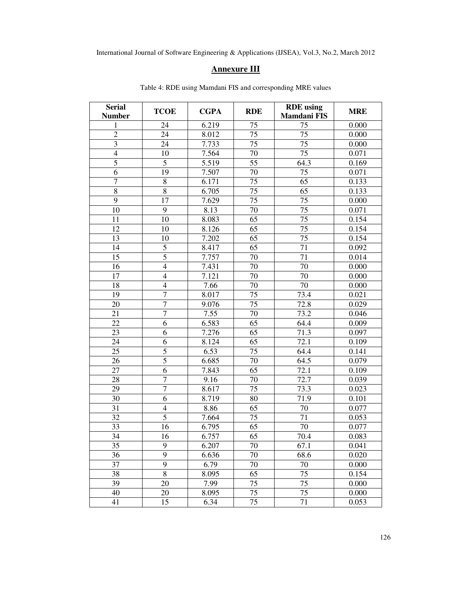# **Annexure III**

| Serial<br><b>Number</b> | <b>TCOE</b>      | <b>CGPA</b>       | <b>RDE</b>      | <b>RDE</b> using<br><b>Mamdani FIS</b> | <b>MRE</b> |
|-------------------------|------------------|-------------------|-----------------|----------------------------------------|------------|
| 1                       | 24               | 6.219             | 75              | 75                                     | 0.000      |
| $\overline{c}$          | 24               | 8.012             | 75              | 75                                     | 0.000      |
| 3                       | 24               | 7.733             | 75              | 75                                     | 0.000      |
| $\overline{4}$          | 10               | 7.564             | 70              | 75                                     | 0.071      |
| $\overline{5}$          | $\overline{5}$   | $\frac{1}{5.519}$ | $\overline{55}$ | 64.3                                   | 0.169      |
| 6                       | 19               | 7.507             | 70              | 75                                     | 0.071      |
| $\tau$                  | $8\,$            | 6.171             | 75              | 65                                     | 0.133      |
| 8                       | $8\,$            | 6.705             | 75              | 65                                     | 0.133      |
| $\overline{9}$          | $\overline{17}$  | 7.629             | 75              | $\overline{75}$                        | 0.000      |
| 10                      | 9                | 8.13              | 70              | 75                                     | 0.071      |
| 11                      | 10               | 8.083             | 65              | $\overline{75}$                        | 0.154      |
| 12                      | 10               | 8.126             | 65              | 75                                     | 0.154      |
| 13                      | 10               | 7.202             | 65              | $\overline{75}$                        | 0.154      |
| 14                      | $\mathfrak s$    | 8.417             | 65              | 71                                     | 0.092      |
| $\overline{15}$         | $\overline{5}$   | 7.757             | 70              | $\overline{71}$                        | 0.014      |
| 16                      | $\overline{4}$   | 7.431             | 70              | 70                                     | 0.000      |
| 17                      | $\overline{4}$   | 7.121             | 70              | 70                                     | 0.000      |
| 18                      | $\overline{4}$   | 7.66              | 70              | 70                                     | 0.000      |
| 19                      | $\overline{7}$   | 8.017             | 75              | 73.4                                   | 0.021      |
| 20                      | $\overline{7}$   | 9.076             | $\overline{75}$ | 72.8                                   | 0.029      |
| 21                      | $\overline{7}$   | 7.55              | 70              | 73.2                                   | 0.046      |
| 22                      | 6                | 6.583             | 65              | 64.4                                   | 0.009      |
| $\overline{23}$         | 6                | 7.276             | 65              | 71.3                                   | 0.097      |
| 24                      | 6                | 8.124             | 65              | 72.1                                   | 0.109      |
| 25                      | $\overline{5}$   | 6.53              | 75              | 64.4                                   | 0.141      |
| 26                      | $\overline{5}$   | 6.685             | 70              | 64.5                                   | 0.079      |
| 27                      | 6                | 7.843             | 65              | 72.1                                   | 0.109      |
| 28                      | $\overline{7}$   | 9.16              | 70              | 72.7                                   | 0.039      |
| 29                      | $\boldsymbol{7}$ | 8.617             | 75              | 73.3                                   | 0.023      |
| 30                      | $\overline{6}$   | 8.719             | 80              | 71.9                                   | 0.101      |
| 31                      | $\overline{4}$   | 8.86              | 65              | 70                                     | 0.077      |
| 32                      | 5                | 7.664             | 75              | 71                                     | 0.053      |
| 33                      | 16               | 6.795             | 65              | 70                                     | 0.077      |
| 34                      | 16               | 6.757             | 65              | 70.4                                   | 0.083      |
| 35                      | 9                | 6.207             | 70              | 67.1                                   | 0.041      |
| 36                      | 9                | 6.636             | 70              | 68.6                                   | 0.020      |
| 37                      | 9                | 6.79              | 70              | 70                                     | 0.000      |
| 38                      | $\overline{8}$   | 8.095             | 65              | 75                                     | 0.154      |
| 39                      | 20               | 7.99              | 75              | 75                                     | 0.000      |
| 40                      | 20               | 8.095             | 75              | 75                                     | 0.000      |
| 41                      | 15               | 6.34              | 75              | 71                                     | 0.053      |

Table 4: RDE using Mamdani FIS and corresponding MRE values